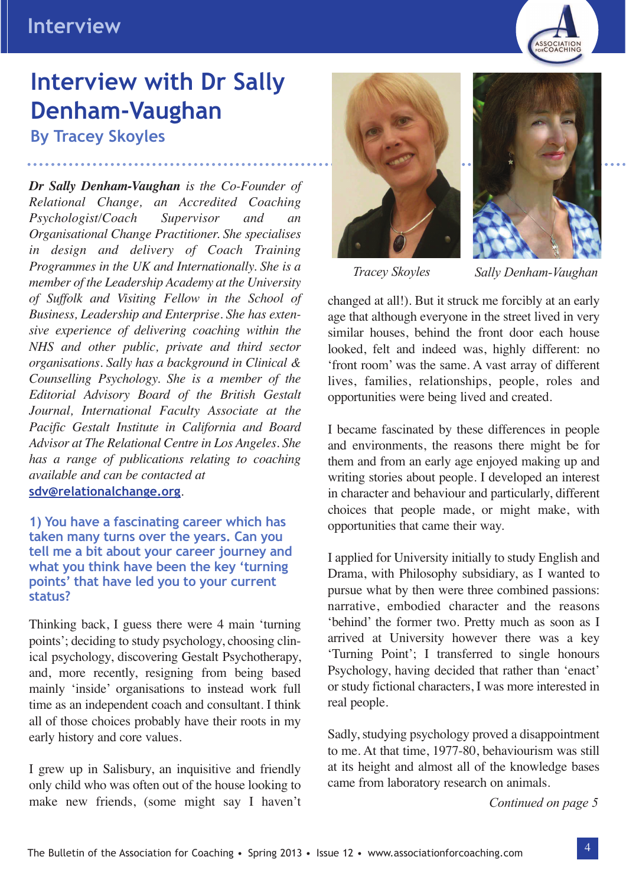

# **Interview with Dr Sally Denham-Vaughan**

**By Tracey Skoyles**

*Dr Sally Denham-Vaughan is the Co-Founder of Relational Change, an Accredited Coaching Psychologist/Coach Supervisor and an Organisational Change Practitioner. She specialises in design and delivery of Coach Training Programmes in the UK and Internationally. She is a member of the Leadership Academy at the University of Suffolk and Visiting Fellow in the School of Business, Leadership and Enterprise. She has extensive experience of delivering coaching within the NHS and other public, private and third sector organisations. Sally has a background in Clinical & Counselling Psychology. She is a member of the Editorial Advisory Board of the British Gestalt Journal, International Faculty Associate at the Pacific Gestalt Institute in California and Board Advisor at The Relational Centre in Los Angeles. She has a range of publications relating to coaching available and can be contacted at*  **sdv@relationalchange.org***.*

## **1) You have a fascinating career which has taken many turns over the years. Can you tell me a bit about your career journey and what you think have been the key 'turning points' that have led you to your current status?**

Thinking back, I guess there were 4 main 'turning points'; deciding to study psychology, choosing clinical psychology, discovering Gestalt Psychotherapy, and, more recently, resigning from being based mainly 'inside' organisations to instead work full time as an independent coach and consultant. I think all of those choices probably have their roots in my early history and core values.

I grew up in Salisbury, an inquisitive and friendly only child who was often out of the house looking to make new friends, (some might say I haven't





*Tracey Skoyles Sally Denham-Vaughan* 

changed at all!). But it struck me forcibly at an early age that although everyone in the street lived in very similar houses, behind the front door each house looked, felt and indeed was, highly different: no 'front room' was the same. A vast array of different lives, families, relationships, people, roles and opportunities were being lived and created.

I became fascinated by these differences in people and environments, the reasons there might be for them and from an early age enjoyed making up and writing stories about people. I developed an interest in character and behaviour and particularly, different choices that people made, or might make, with opportunities that came their way.

I applied for University initially to study English and Drama, with Philosophy subsidiary, as I wanted to pursue what by then were three combined passions: narrative, embodied character and the reasons 'behind' the former two. Pretty much as soon as I arrived at University however there was a key 'Turning Point'; I transferred to single honours Psychology, having decided that rather than 'enact' or study fictional characters, I was more interested in real people.

Sadly, studying psychology proved a disappointment to me. At that time, 1977-80, behaviourism was still at its height and almost all of the knowledge bases came from laboratory research on animals.

*Continued on page 5*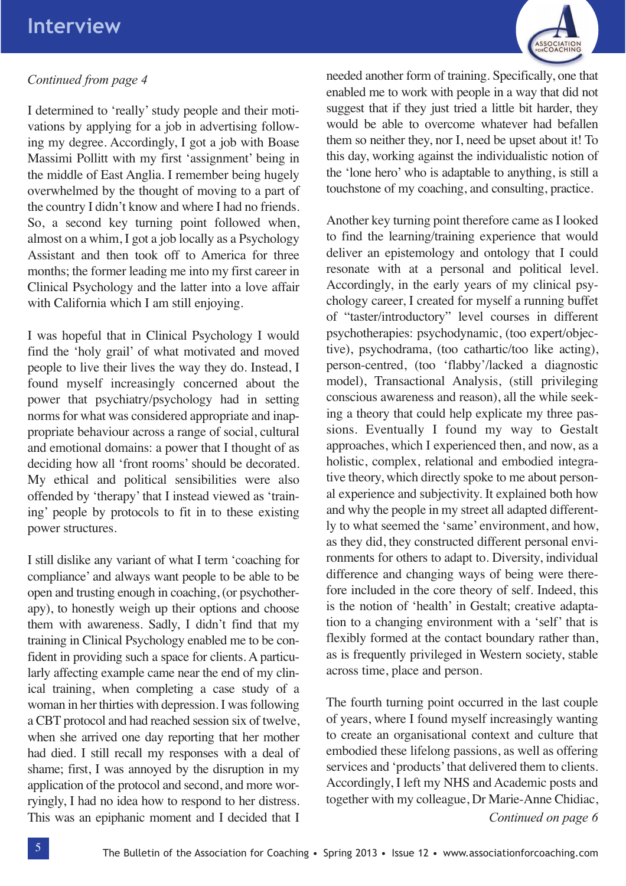I determined to 'really' study people and their motivations by applying for a job in advertising following my degree. Accordingly, I got a job with Boase Massimi Pollitt with my first 'assignment' being in the middle of East Anglia. I remember being hugely overwhelmed by the thought of moving to a part of the country I didn't know and where I had no friends. So, a second key turning point followed when, almost on a whim, I got a job locally as a Psychology Assistant and then took off to America for three months; the former leading me into my first career in Clinical Psychology and the latter into a love affair with California which I am still enjoying.

I was hopeful that in Clinical Psychology I would find the 'holy grail' of what motivated and moved people to live their lives the way they do. Instead, I found myself increasingly concerned about the power that psychiatry/psychology had in setting norms for what was considered appropriate and inappropriate behaviour across a range of social, cultural and emotional domains: a power that I thought of as deciding how all 'front rooms' should be decorated. My ethical and political sensibilities were also offended by 'therapy' that I instead viewed as 'training' people by protocols to fit in to these existing power structures.

I still dislike any variant of what I term 'coaching for compliance' and always want people to be able to be open and trusting enough in coaching, (or psychotherapy), to honestly weigh up their options and choose them with awareness. Sadly, I didn't find that my training in Clinical Psychology enabled me to be confident in providing such a space for clients. A particularly affecting example came near the end of my clinical training, when completing a case study of a woman in her thirties with depression. I was following a CBT protocol and had reached session six of twelve, when she arrived one day reporting that her mother had died. I still recall my responses with a deal of shame; first, I was annoyed by the disruption in my application of the protocol and second, and more worryingly, I had no idea how to respond to her distress. This was an epiphanic moment and I decided that I



needed another form of training. Specifically, one that enabled me to work with people in a way that did not suggest that if they just tried a little bit harder, they would be able to overcome whatever had befallen them so neither they, nor I, need be upset about it! To this day, working against the individualistic notion of the 'lone hero' who is adaptable to anything, is still a touchstone of my coaching, and consulting, practice.

Another key turning point therefore came as I looked to find the learning/training experience that would deliver an epistemology and ontology that I could resonate with at a personal and political level. Accordingly, in the early years of my clinical psychology career, I created for myself a running buffet of "taster/introductory" level courses in different psychotherapies: psychodynamic, (too expert/objective), psychodrama, (too cathartic/too like acting), person-centred, (too 'flabby'/lacked a diagnostic model), Transactional Analysis, (still privileging conscious awareness and reason), all the while seeking a theory that could help explicate my three passions. Eventually I found my way to Gestalt approaches, which I experienced then, and now, as a holistic, complex, relational and embodied integrative theory, which directly spoke to me about personal experience and subjectivity. It explained both how and why the people in my street all adapted differently to what seemed the 'same' environment, and how, as they did, they constructed different personal environments for others to adapt to. Diversity, individual difference and changing ways of being were therefore included in the core theory of self. Indeed, this is the notion of 'health' in Gestalt; creative adaptation to a changing environment with a 'self' that is flexibly formed at the contact boundary rather than, as is frequently privileged in Western society, stable across time, place and person.

The fourth turning point occurred in the last couple of years, where I found myself increasingly wanting to create an organisational context and culture that embodied these lifelong passions, as well as offering services and 'products' that delivered them to clients. Accordingly, I left my NHS and Academic posts and together with my colleague, Dr Marie-Anne Chidiac,

*Continued on page 6*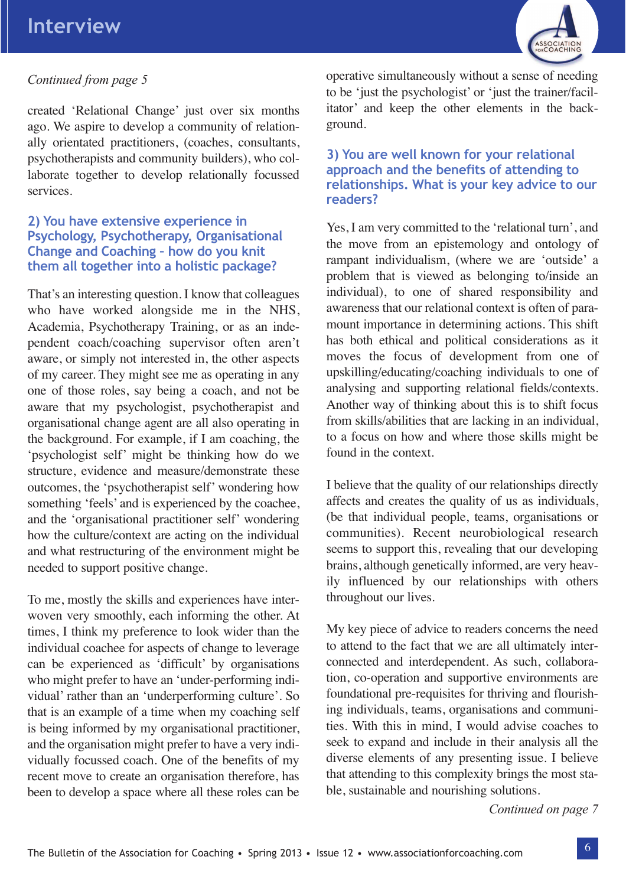

created 'Relational Change' just over six months ago. We aspire to develop a community of relationally orientated practitioners, (coaches, consultants, psychotherapists and community builders), who collaborate together to develop relationally focussed services.

## **2) You have extensive experience in Psychology, Psychotherapy, Organisational Change and Coaching – how do you knit them all together into a holistic package?**

That's an interesting question. I know that colleagues who have worked alongside me in the NHS, Academia, Psychotherapy Training, or as an independent coach/coaching supervisor often aren't aware, or simply not interested in, the other aspects of my career. They might see me as operating in any one of those roles, say being a coach, and not be aware that my psychologist, psychotherapist and organisational change agent are all also operating in the background. For example, if I am coaching, the 'psychologist self' might be thinking how do we structure, evidence and measure/demonstrate these outcomes, the 'psychotherapist self' wondering how something 'feels' and is experienced by the coachee, and the 'organisational practitioner self' wondering how the culture/context are acting on the individual and what restructuring of the environment might be needed to support positive change.

To me, mostly the skills and experiences have interwoven very smoothly, each informing the other. At times, I think my preference to look wider than the individual coachee for aspects of change to leverage can be experienced as 'difficult' by organisations who might prefer to have an 'under-performing individual' rather than an 'underperforming culture'. So that is an example of a time when my coaching self is being informed by my organisational practitioner, and the organisation might prefer to have a very individually focussed coach. One of the benefits of my recent move to create an organisation therefore, has been to develop a space where all these roles can be

operative simultaneously without a sense of needing to be 'just the psychologist' or 'just the trainer/facilitator' and keep the other elements in the background.

## **3) You are well known for your relational approach and the benefits of attending to relationships. What is your key advice to our readers?**

Yes, I am very committed to the 'relational turn', and the move from an epistemology and ontology of rampant individualism, (where we are 'outside' a problem that is viewed as belonging to/inside an individual), to one of shared responsibility and awareness that our relational context is often of paramount importance in determining actions. This shift has both ethical and political considerations as it moves the focus of development from one of upskilling/educating/coaching individuals to one of analysing and supporting relational fields/contexts. Another way of thinking about this is to shift focus from skills/abilities that are lacking in an individual, to a focus on how and where those skills might be found in the context.

I believe that the quality of our relationships directly affects and creates the quality of us as individuals, (be that individual people, teams, organisations or communities). Recent neurobiological research seems to support this, revealing that our developing brains, although genetically informed, are very heavily influenced by our relationships with others throughout our lives.

My key piece of advice to readers concerns the need to attend to the fact that we are all ultimately interconnected and interdependent. As such, collaboration, co-operation and supportive environments are foundational pre-requisites for thriving and flourishing individuals, teams, organisations and communities. With this in mind, I would advise coaches to seek to expand and include in their analysis all the diverse elements of any presenting issue. I believe that attending to this complexity brings the most stable, sustainable and nourishing solutions.

*Continued on page 7*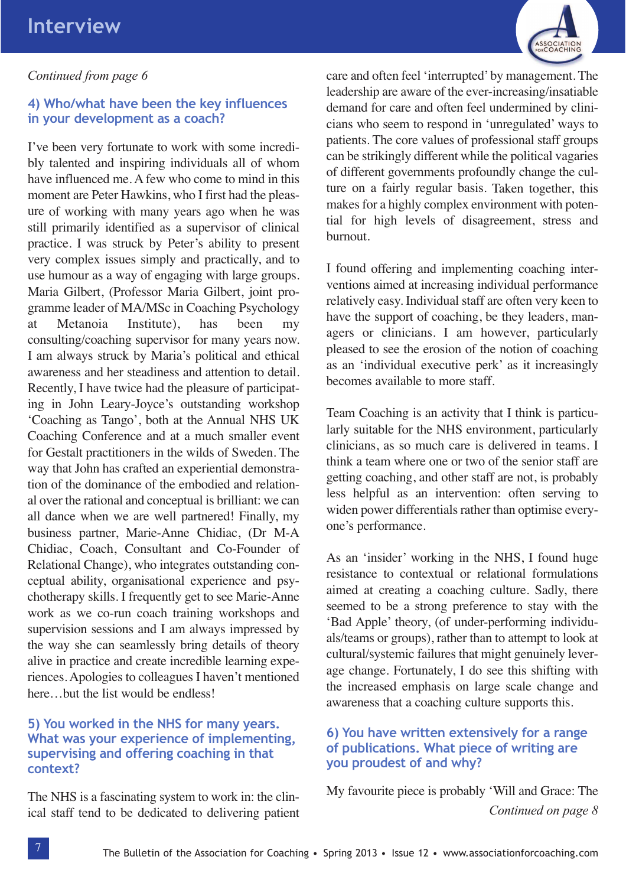# **4) Who/what have been the key influences in your development as a coach?**

I've been very fortunate to work with some incredibly talented and inspiring individuals all of whom have influenced me. A few who come to mind in this moment are Peter Hawkins, who I first had the pleasure of working with many years ago when he was still primarily identified as a supervisor of clinical practice. I was struck by Peter's ability to present very complex issues simply and practically, and to use humour as a way of engaging with large groups. Maria Gilbert, (Professor Maria Gilbert, joint programme leader of MA/MSc in Coaching Psychology at Metanoia Institute), has been my consulting/coaching supervisor for many years now. I am always struck by Maria's political and ethical awareness and her steadiness and attention to detail. Recently, I have twice had the pleasure of participating in John Leary-Joyce's outstanding workshop 'Coaching as Tango', both at the Annual NHS UK Coaching Conference and at a much smaller event for Gestalt practitioners in the wilds of Sweden. The way that John has crafted an experiential demonstration of the dominance of the embodied and relational over the rational and conceptual is brilliant: we can all dance when we are well partnered! Finally, my business partner, Marie-Anne Chidiac, (Dr M-A Chidiac, Coach, Consultant and Co-Founder of Relational Change), who integrates outstanding conceptual ability, organisational experience and psychotherapy skills. I frequently get to see Marie-Anne work as we co-run coach training workshops and supervision sessions and I am always impressed by the way she can seamlessly bring details of theory alive in practice and create incredible learning experiences. Apologies to colleagues I haven't mentioned here…but the list would be endless!

#### **5) You worked in the NHS for many years. What was your experience of implementing, supervising and offering coaching in that context?**

The NHS is a fascinating system to work in: the clinical staff tend to be dedicated to delivering patient



care and often feel 'interrupted' by management. The leadership are aware of the ever-increasing/insatiable demand for care and often feel undermined by clinicians who seem to respond in 'unregulated' ways to patients. The core values of professional staff groups can be strikingly different while the political vagaries of different governments profoundly change the culture on a fairly regular basis. Taken together, this makes for a highly complex environment with potential for high levels of disagreement, stress and burnout.

I found offering and implementing coaching interventions aimed at increasing individual performance relatively easy. Individual staff are often very keen to have the support of coaching, be they leaders, managers or clinicians. I am however, particularly pleased to see the erosion of the notion of coaching as an 'individual executive perk' as it increasingly becomes available to more staff.

Team Coaching is an activity that I think is particularly suitable for the NHS environment, particularly clinicians, as so much care is delivered in teams. I think a team where one or two of the senior staff are getting coaching, and other staff are not, is probably less helpful as an intervention: often serving to widen power differentials rather than optimise everyone's performance.

As an 'insider' working in the NHS, I found huge resistance to contextual or relational formulations aimed at creating a coaching culture. Sadly, there seemed to be a strong preference to stay with the 'Bad Apple' theory, (of under-performing individuals/teams or groups), rather than to attempt to look at cultural/systemic failures that might genuinely leverage change. Fortunately, I do see this shifting with the increased emphasis on large scale change and awareness that a coaching culture supports this.

# **6) You have written extensively for a range of publications. What piece of writing are you proudest of and why?**

My favourite piece is probably 'Will and Grace: The *Continued on page 8*